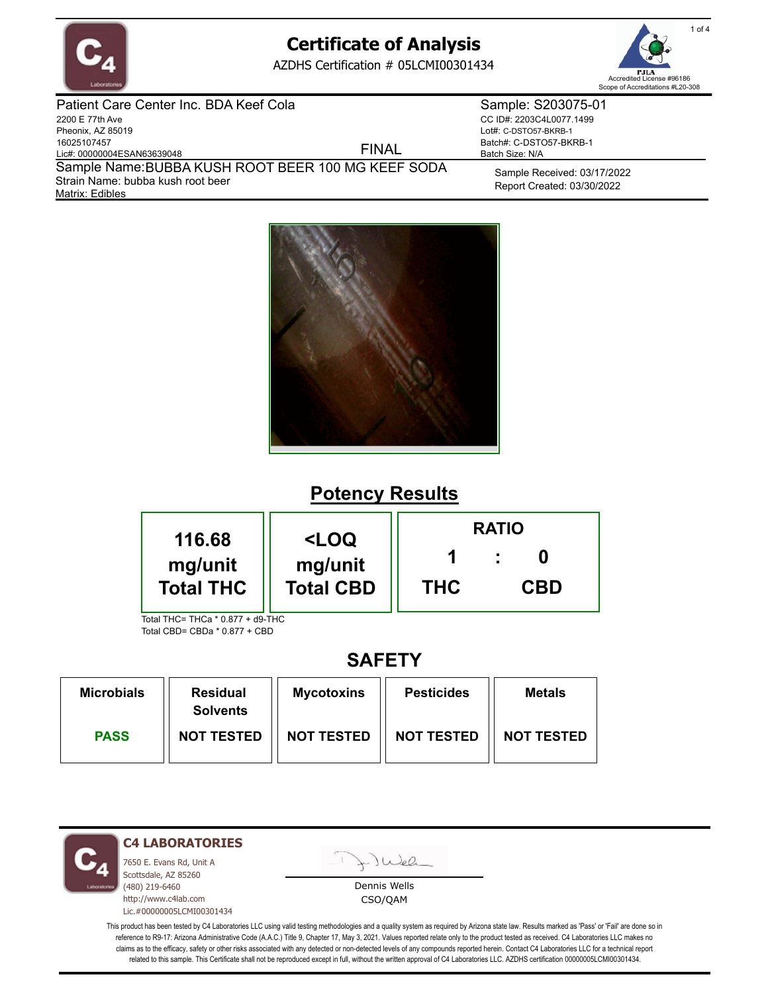

AZDHS Certification # 05LCMI00301434



Patient Care Center Inc. BDA Keef Cola 2200 E 77th Ave Pheonix, AZ 85019 16025107457 Lic#: 00000004ESAN63639048 Matrix: Edibles Sample Name: BUBBA KUSH ROOT BEER 100 MG KEEF SODA Strain Name: bubba kush root beer FINAL

Sample: S203075-01 CC ID#: 2203C4L0077.1499 Lot#: C-DSTO57-BKRB-1 Batch#: C-DSTO57-BKRB-1 Batch Size: N/A

> Sample Received: 03/17/2022 Report Created: 03/30/2022



## **Potency Results**

| 116.68                           | <loq<br>mg/unit<br/><b>Total CBD</b></loq<br> |                 | <b>RATIO</b> |
|----------------------------------|-----------------------------------------------|-----------------|--------------|
| mg/unit<br><b>Total THC</b>      |                                               | л<br><b>THC</b> | <b>CBD</b>   |
| Total THC= THCa * 0.877 + d9-THC |                                               |                 |              |

Total CBD= CBDa \* 0.877 + CBD

### **SAFETY**

| <b>Microbials</b> | <b>Residual</b><br><b>Solvents</b> | <b>Mycotoxins</b> | <b>Pesticides</b> | <b>Metals</b>     |
|-------------------|------------------------------------|-------------------|-------------------|-------------------|
| <b>PASS</b>       | <b>NOT TESTED</b>                  | <b>NOT TESTED</b> | <b>NOT TESTED</b> | <b>NOT TESTED</b> |

**C4 LABORATORIES**

7650 E. Evans Rd, Unit A Scottsdale, AZ 85260 (480) 219-6460 http://www.c4lab.com Lic.#00000005LCMI00301434

Juea

Dennis Wells CSO/QAM

This product has been tested by C4 Laboratories LLC using valid testing methodologies and a quality system as required by Arizona state law. Results marked as 'Pass' or 'Fail' are done so in reference to R9-17: Arizona Administrative Code (A.A.C.) Title 9, Chapter 17, May 3, 2021. Values reported relate only to the product tested as received. C4 Laboratories LLC makes no claims as to the efficacy, safety or other risks associated with any detected or non-detected levels of any compounds reported herein. Contact C4 Laboratories LLC for a technical report related to this sample. This Certificate shall not be reproduced except in full, without the written approval of C4 Laboratories LLC. AZDHS certification 00000005LCMI00301434.

1 of 4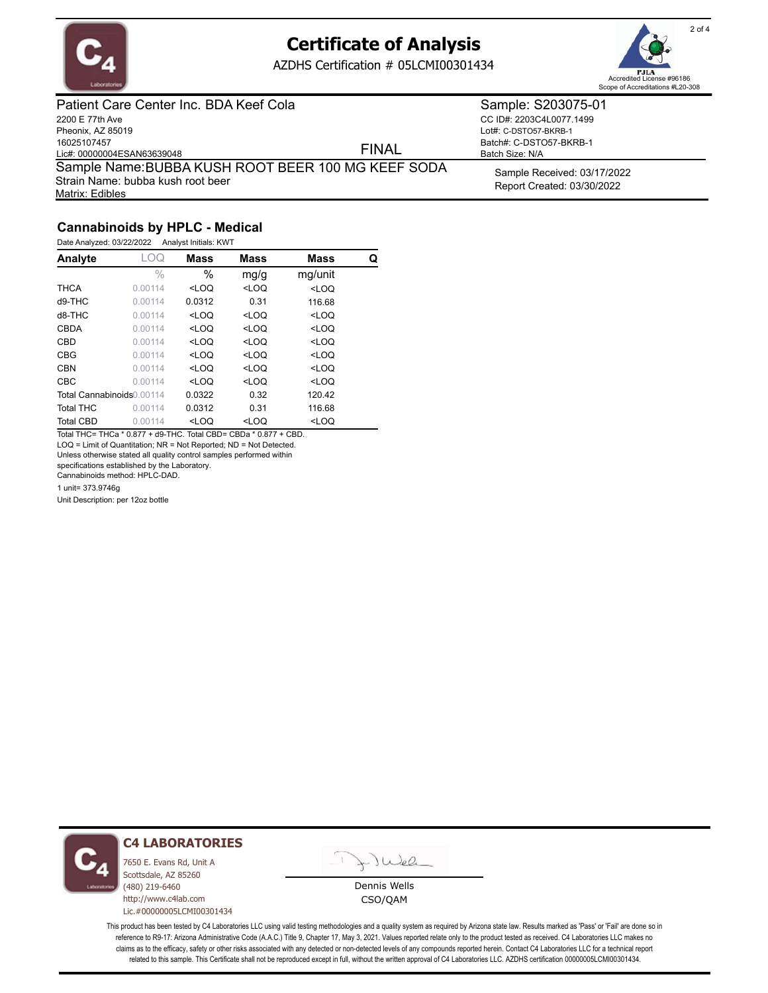

AZDHS Certification # 05LCMI00301434



Patient Care Center Inc. BDA Keef Cola 2200 E 77th Ave Pheonix, AZ 85019 16025107457 Lic#: 00000004ESAN63639048 Matrix: Edibles Sample Name: BUBBA KUSH ROOT BEER 100 MG KEEF SODA Strain Name: bubba kush root beer FINAL

Sample: S203075-01

CC ID#: 2203C4L0077.1499 Lot#: C-DSTO57-BKRB-1 Batch#: C-DSTO57-BKRB-1 Batch Size: N/A

> Sample Received: 03/17/2022 Report Created: 03/30/2022

#### **Cannabinoids by HPLC - Medical**

| Date Analyzed: 03/22/2022<br>Analyst Initials: KWT |               |                                                                                       |             |                              |   |  |
|----------------------------------------------------|---------------|---------------------------------------------------------------------------------------|-------------|------------------------------|---|--|
| Analyte                                            | luq           | <b>Mass</b>                                                                           | <b>Mass</b> | <b>Mass</b>                  | Q |  |
|                                                    | $\frac{0}{0}$ | $\%$                                                                                  | mg/g        | mg/unit                      |   |  |
| <b>THCA</b>                                        | 0.00114       | $<$ LOQ                                                                               | $<$ LOQ     | $<$ LOQ                      |   |  |
| d9-THC                                             | 0.00114       | 0.0312                                                                                | 0.31        | 116.68                       |   |  |
| d8-THC                                             | 0.00114       | $<$ LOQ                                                                               | $<$ LOQ     | $<$ LOQ                      |   |  |
| CBDA                                               | 0.00114       | $<$ LOQ                                                                               | $<$ LOQ     | $<$ LOQ                      |   |  |
| CBD                                                | 0.00114       | <loq< td=""><td><math>&lt;</math>LOQ</td><td><loq< td=""><td></td></loq<></td></loq<> | $<$ LOQ     | <loq< td=""><td></td></loq<> |   |  |
| <b>CBG</b>                                         | 0.00114       | $<$ LOQ                                                                               | $<$ LOQ     | <loq< td=""><td></td></loq<> |   |  |
| <b>CBN</b>                                         | 0.00114       | $<$ LOQ                                                                               | $<$ LOQ     | $<$ LOQ                      |   |  |
| <b>CBC</b>                                         | 0.00114       | $<$ LOQ                                                                               | $<$ LOQ     | $<$ LOQ                      |   |  |
| Total Cannabinoids0.00114                          |               | 0.0322                                                                                | 0.32        | 120.42                       |   |  |
| <b>Total THC</b>                                   | 0.00114       | 0.0312                                                                                | 0.31        | 116.68                       |   |  |
| <b>Total CBD</b>                                   | 0.00114       | $<$ LOQ                                                                               | $<$ LOQ     | $<$ LOQ                      |   |  |

Total THC= THCa \* 0.877 + d9-THC. Total CBD= CBDa \* 0.877 + CBD. LOQ = Limit of Quantitation; NR = Not Reported; ND = Not Detected.

Unless otherwise stated all quality control samples performed within

specifications established by the Laboratory.

Cannabinoids method: HPLC-DAD.

1 unit= 373.9746g

Unit Description: per 12oz bottle



#### **C4 LABORATORIES**

7650 E. Evans Rd, Unit A Scottsdale, AZ 85260 (480) 219-6460 http://www.c4lab.com Lic.#00000005LCMI00301434

Juea

Dennis Wells CSO/QAM

This product has been tested by C4 Laboratories LLC using valid testing methodologies and a quality system as required by Arizona state law. Results marked as 'Pass' or 'Fail' are done so in reference to R9-17: Arizona Administrative Code (A.A.C.) Title 9, Chapter 17, May 3, 2021. Values reported relate only to the product tested as received. C4 Laboratories LLC makes no claims as to the efficacy, safety or other risks associated with any detected or non-detected levels of any compounds reported herein. Contact C4 Laboratories LLC for a technical report related to this sample. This Certificate shall not be reproduced except in full, without the written approval of C4 Laboratories LLC. AZDHS certification 00000005LCMI00301434.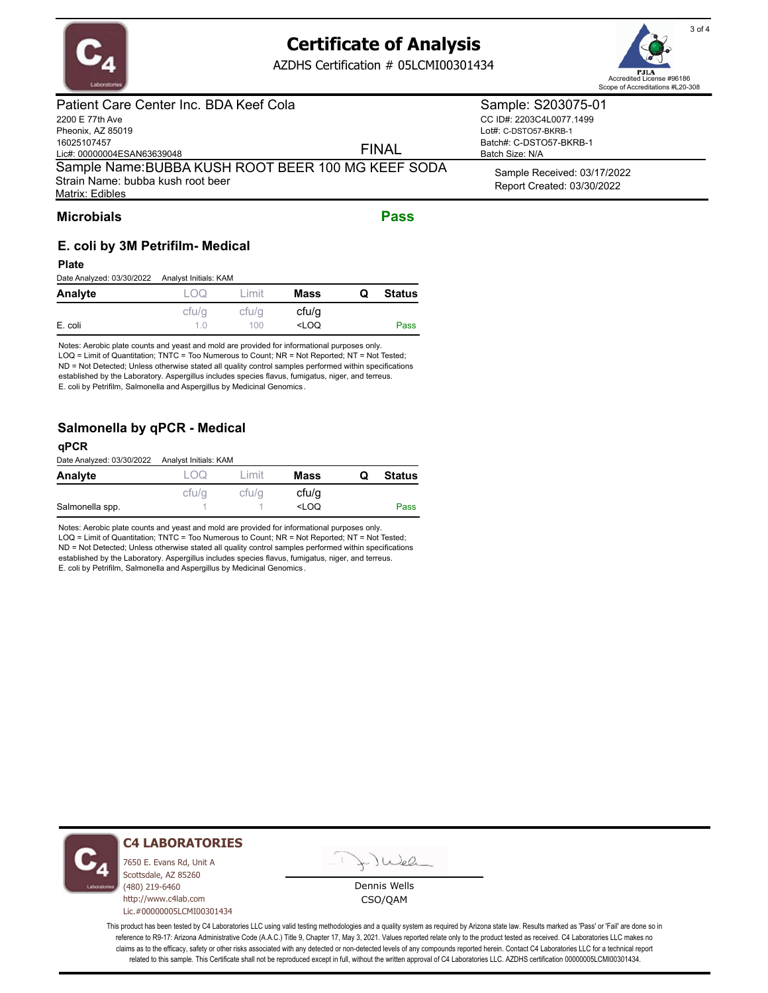

AZDHS Certification # 05LCMI00301434



Patient Care Center Inc. BDA Keef Cola

2200 E 77th Ave Pheonix, AZ 85019 16025107457 Lic#: 00000004ESAN63639048 Matrix: Edibles Sample Name: BUBBA KUSH ROOT BEER 100 MG KEEF SODA Strain Name: bubba kush root beer FINAL

#### **Microbials Pass**

#### **E. coli by 3M Petrifilm- Medical**

**Plate**

| Date Analyzed: 03/30/2022 | Analyst Initials: KAM |  |
|---------------------------|-----------------------|--|

| Analyte | LOQ   | ∟ımıt | <b>Mass</b>                               | Q | <b>Status</b> |
|---------|-------|-------|-------------------------------------------|---|---------------|
|         | cfu/g | cfu/q | cfu/q                                     |   |               |
| E. coli | 1.0   | 100   | <loq< td=""><td></td><td>Pass</td></loq<> |   | Pass          |

Notes: Aerobic plate counts and yeast and mold are provided for informational purposes only. LOQ = Limit of Quantitation; TNTC = Too Numerous to Count; NR = Not Reported; NT = Not Tested; ND = Not Detected; Unless otherwise stated all quality control samples performed within specifications established by the Laboratory. Aspergillus includes species flavus, fumigatus, niger, and terreus. E. coli by Petrifilm, Salmonella and Aspergillus by Medicinal Genomics .

#### **Salmonella by qPCR - Medical**

| qPCR                      |                       |       |                                           |   |               |
|---------------------------|-----------------------|-------|-------------------------------------------|---|---------------|
| Date Analyzed: 03/30/2022 | Analyst Initials: KAM |       |                                           |   |               |
| Analyte                   | I ( ) ( )             | imit  | <b>Mass</b>                               | Q | <b>Status</b> |
|                           | cfu/q                 | cfu/q | cfu/q                                     |   |               |
| Salmonella spp.           |                       |       | <loq< td=""><td></td><td>Pass</td></loq<> |   | Pass          |

Notes: Aerobic plate counts and yeast and mold are provided for informational purposes only. LOQ = Limit of Quantitation; TNTC = Too Numerous to Count; NR = Not Reported; NT = Not Tested; ND = Not Detected; Unless otherwise stated all quality control samples performed within specifications established by the Laboratory. Aspergillus includes species flavus, fumigatus, niger, and terreus. E. coli by Petrifilm, Salmonella and Aspergillus by Medicinal Genomics .



#### **C4 LABORATORIES**

7650 E. Evans Rd, Unit A Scottsdale, AZ 85260 (480) 219-6460 http://www.c4lab.com Lic.#00000005LCMI00301434 Juea

Dennis Wells CSO/QAM

This product has been tested by C4 Laboratories LLC using valid testing methodologies and a quality system as required by Arizona state law. Results marked as 'Pass' or 'Fail' are done so in reference to R9-17: Arizona Administrative Code (A.A.C.) Title 9, Chapter 17, May 3, 2021. Values reported relate only to the product tested as received. C4 Laboratories LLC makes no claims as to the efficacy, safety or other risks associated with any detected or non-detected levels of any compounds reported herein. Contact C4 Laboratories LLC for a technical report related to this sample. This Certificate shall not be reproduced except in full, without the written approval of C4 Laboratories LLC. AZDHS certification 00000005LCMI00301434.

Sample Received: 03/17/2022 Report Created: 03/30/2022

Sample: S203075-01 CC ID#: 2203C4L0077.1499 Lot#: C-DSTO57-BKRB-1 Batch#: C-DSTO57-BKRB-1

Batch Size: N/A

3 of 4